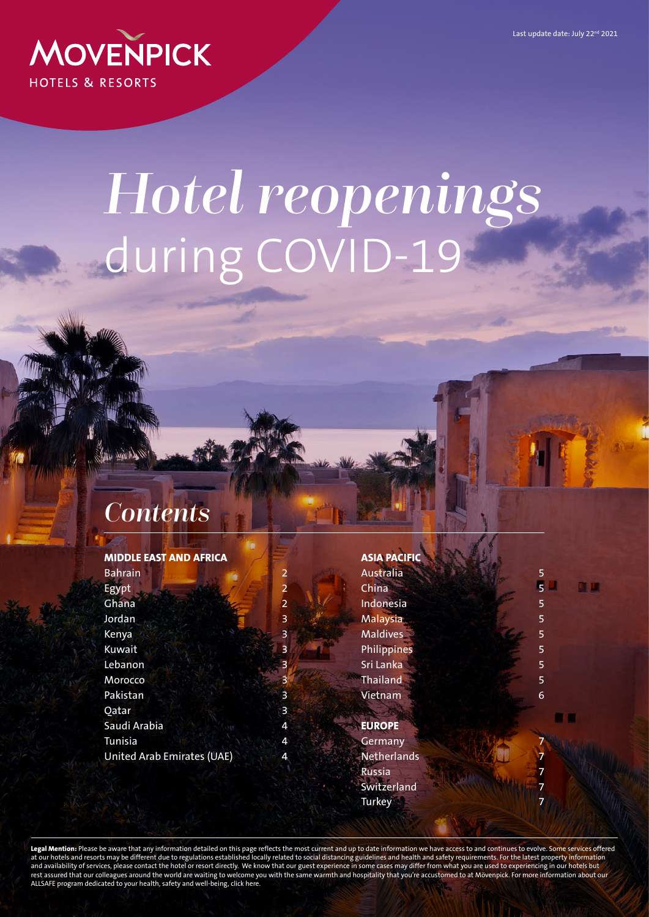Last update date: July 22<sup>nd</sup> 2021

<span id="page-0-0"></span>

# *Hotel reopenings*  during COVID-19

#### *Contents*

|  |  |  | MIDDLE EAST AND AFRICA |  |
|--|--|--|------------------------|--|
|  |  |  |                        |  |

**[Bahrain](#page-1-0)** [Egypt](#page-1-0) [Ghana](#page-1-0) 2 2 [Jordan](#page-2-0) 3 [Kenya](#page-2-0) 3 [Kuwait](#page-2-0) 3 3 [Lebanon](#page-2-0) 3 [Morocco](#page-2-0) 3 [Pakistan](#page-2-0) 3 [Qatar](#page-2-0) 3 3 [Saudi Arabia](#page-3-0) 4 **[Tunisia](#page-3-0)** [United Arab Emirates \(UAE\)](#page-3-0) 4

| <b>ASIA PACIFIC</b> |                         |
|---------------------|-------------------------|
| Australia           | 5                       |
| China               | $\overline{5}$<br>1 图 3 |
| Indonesia           | 5                       |
| <b>Malaysia</b>     | 5                       |
| <b>Maldives</b>     | 5                       |
| Philippines         | 5                       |
| Sri Lanka           | 5                       |
| Thailand            | 5                       |
| Vietnam             | 6                       |
|                     |                         |
| <b>EUROPE</b>       |                         |
| Germany             |                         |
| Netherlands         | 7                       |
| Russia              | 7                       |
| Switzerland         | 7                       |
| <b>Turkey</b>       |                         |
|                     |                         |

**Legal Mention:** Please be aware that any information detailed on this page reflects the most current and up to date information we have access to and continues to evolve. Some services offered at our hotels and resorts may be different due to regulations established locally related to social distancing guidelines and health and safety requirements. For the latest property information and availability of services, please contact the hotel or resort directly. We know that our guest experience in some cases may differ from what you are used to experiencing in our hotels but rest assured that our colleagues around the world are waiting to welcome you with the same warmth and hospitality that you're accustomed to at Mövenpick. For more information about our ALLSAFE program dedicated to your health, safety and well-being, click [here.](https://all.accor.com/event/allsafe.en.shtml)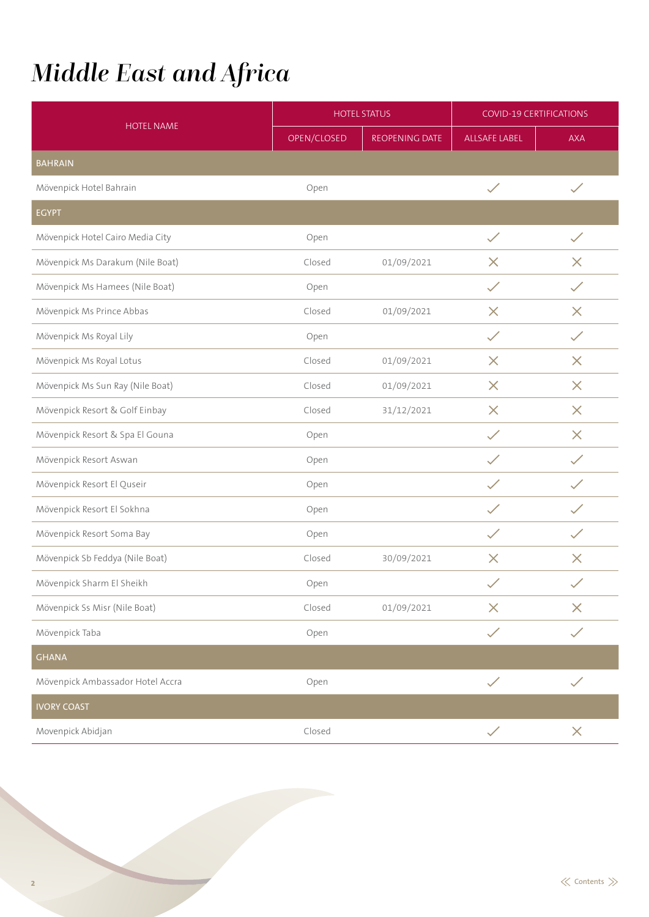## <span id="page-1-0"></span>*Middle East and Africa*

|                                  |             | <b>HOTEL STATUS</b> | <b>COVID-19 CERTIFICATIONS</b> |              |  |
|----------------------------------|-------------|---------------------|--------------------------------|--------------|--|
| <b>HOTEL NAME</b>                | OPEN/CLOSED | REOPENING DATE      | ALLSAFE LABEL                  | <b>AXA</b>   |  |
| <b>BAHRAIN</b>                   |             |                     |                                |              |  |
| Mövenpick Hotel Bahrain          | Open        |                     | $\checkmark$                   | $\checkmark$ |  |
| <b>EGYPT</b>                     |             |                     |                                |              |  |
| Mövenpick Hotel Cairo Media City | Open        |                     | $\checkmark$                   | $\checkmark$ |  |
| Mövenpick Ms Darakum (Nile Boat) | Closed      | 01/09/2021          | $\times$                       | $\times$     |  |
| Mövenpick Ms Hamees (Nile Boat)  | Open        |                     | ✓                              | $\diagup$    |  |
| Mövenpick Ms Prince Abbas        | Closed      | 01/09/2021          | $\times$                       | $\times$     |  |
| Mövenpick Ms Royal Lily          | Open        |                     | $\checkmark$                   | ✓            |  |
| Mövenpick Ms Royal Lotus         | Closed      | 01/09/2021          | $\times$                       | $\times$     |  |
| Mövenpick Ms Sun Ray (Nile Boat) | Closed      | 01/09/2021          | $\times$                       | $\times$     |  |
| Mövenpick Resort & Golf Einbay   | Closed      | 31/12/2021          | $\times$                       | $\times$     |  |
| Mövenpick Resort & Spa El Gouna  | Open        |                     | $\checkmark$                   | $\times$     |  |
| Mövenpick Resort Aswan           | Open        |                     | $\checkmark$                   | $\checkmark$ |  |
| Mövenpick Resort El Quseir       | Open        |                     | ✓                              | $\checkmark$ |  |
| Mövenpick Resort El Sokhna       | Open        |                     | $\checkmark$                   | ✓            |  |
| Mövenpick Resort Soma Bay        | Open        |                     | $\checkmark$                   | $\checkmark$ |  |
| Mövenpick Sb Feddya (Nile Boat)  | Closed      | 30/09/2021          | $\times$                       | $\times$     |  |
| Mövenpick Sharm El Sheikh        | Open        |                     | $\checkmark$                   | $\checkmark$ |  |
| Mövenpick Ss Misr (Nile Boat)    | Closed      | 01/09/2021          | $\times$                       | $\times$     |  |
| Mövenpick Taba                   | Open        |                     | $\checkmark$                   | $\checkmark$ |  |
| <b>GHANA</b>                     |             |                     |                                |              |  |
| Mövenpick Ambassador Hotel Accra | Open        |                     | $\checkmark$                   | $\checkmark$ |  |
| <b>IVORY COAST</b>               |             |                     |                                |              |  |
| Movenpick Abidjan                | Closed      |                     | $\checkmark$                   | $\times$     |  |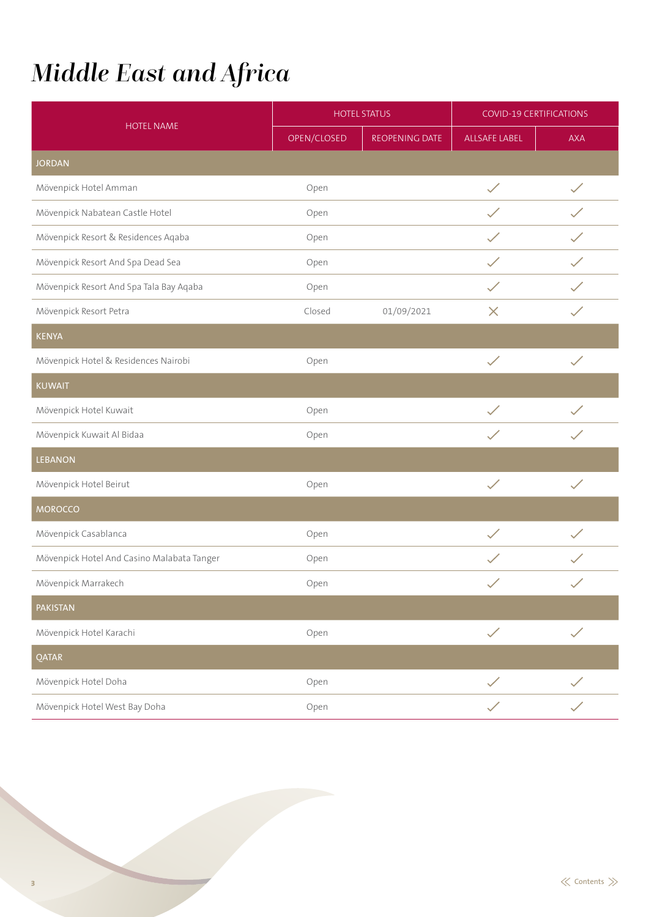# <span id="page-2-0"></span>*Middle East and Africa*

|                                            | <b>HOTEL STATUS</b> |                | <b>COVID-19 CERTIFICATIONS</b> |              |
|--------------------------------------------|---------------------|----------------|--------------------------------|--------------|
| <b>HOTEL NAME</b>                          | OPEN/CLOSED         | REOPENING DATE | <b>ALLSAFE LABEL</b>           | <b>AXA</b>   |
| <b>JORDAN</b>                              |                     |                |                                |              |
| Mövenpick Hotel Amman                      | Open                |                | $\checkmark$                   |              |
| Mövenpick Nabatean Castle Hotel            | Open                |                |                                |              |
| Mövenpick Resort & Residences Aqaba        | Open                |                |                                |              |
| Mövenpick Resort And Spa Dead Sea          | Open                |                | $\checkmark$                   | $\checkmark$ |
| Mövenpick Resort And Spa Tala Bay Aqaba    | Open                |                | $\checkmark$                   |              |
| Mövenpick Resort Petra                     | Closed              | 01/09/2021     | $\times$                       | $\checkmark$ |
| <b>KENYA</b>                               |                     |                |                                |              |
| Mövenpick Hotel & Residences Nairobi       | Open                |                | $\checkmark$                   | $\checkmark$ |
| <b>KUWAIT</b>                              |                     |                |                                |              |
| Mövenpick Hotel Kuwait                     | Open                |                |                                |              |
| Mövenpick Kuwait Al Bidaa                  | Open                |                |                                |              |
| <b>LEBANON</b>                             |                     |                |                                |              |
| Mövenpick Hotel Beirut                     | Open                |                | $\checkmark$                   | $\checkmark$ |
| <b>MOROCCO</b>                             |                     |                |                                |              |
| Mövenpick Casablanca                       | Open                |                | $\checkmark$                   |              |
| Mövenpick Hotel And Casino Malabata Tanger | Open                |                | $\checkmark$                   |              |
| Mövenpick Marrakech                        | Open                |                | $\checkmark$                   |              |
| <b>PAKISTAN</b>                            |                     |                |                                |              |
| Mövenpick Hotel Karachi                    | Open                |                | $\checkmark$                   | $\checkmark$ |
| <b>QATAR</b>                               |                     |                |                                |              |
| Mövenpick Hotel Doha                       | Open                |                | $\checkmark$                   | $\checkmark$ |
| Mövenpick Hotel West Bay Doha              | Open                |                | $\checkmark$                   | $\checkmark$ |

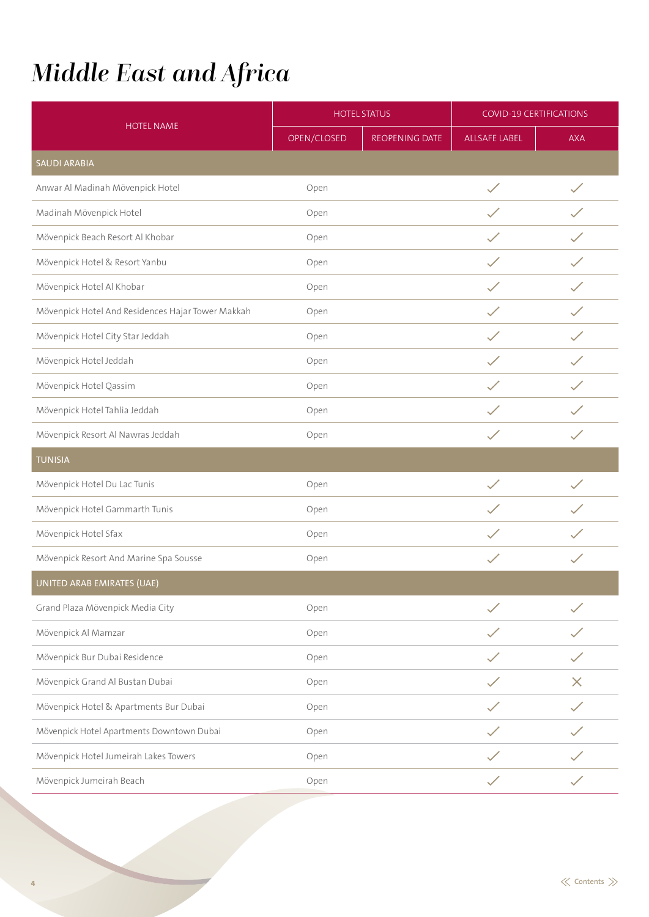# <span id="page-3-0"></span>*Middle East and Africa*

|                                                   |             | <b>HOTEL STATUS</b> | <b>COVID-19 CERTIFICATIONS</b> |                            |
|---------------------------------------------------|-------------|---------------------|--------------------------------|----------------------------|
| <b>HOTEL NAME</b>                                 | OPEN/CLOSED | REOPENING DATE      | ALLSAFE LABEL                  | <b>AXA</b>                 |
| <b>SAUDI ARABIA</b>                               |             |                     |                                |                            |
| Anwar Al Madinah Mövenpick Hotel                  | Open        |                     | $\checkmark$                   |                            |
| Madinah Mövenpick Hotel                           | Open        |                     |                                |                            |
| Mövenpick Beach Resort Al Khobar                  | Open        |                     |                                |                            |
| Mövenpick Hotel & Resort Yanbu                    | Open        |                     | $\checkmark$                   | $\boldsymbol{\mathscr{S}}$ |
| Mövenpick Hotel Al Khobar                         | Open        |                     | $\checkmark$                   |                            |
| Mövenpick Hotel And Residences Hajar Tower Makkah | Open        |                     | $\checkmark$                   |                            |
| Mövenpick Hotel City Star Jeddah                  | Open        |                     | $\checkmark$                   |                            |
| Mövenpick Hotel Jeddah                            | Open        |                     | $\checkmark$                   | $\checkmark$               |
| Mövenpick Hotel Qassim                            | Open        |                     |                                |                            |
| Mövenpick Hotel Tahlia Jeddah                     | Open        |                     |                                |                            |
| Mövenpick Resort Al Nawras Jeddah                 | Open        |                     |                                |                            |
| <b>TUNISIA</b>                                    |             |                     |                                |                            |
| Mövenpick Hotel Du Lac Tunis                      | Open        |                     | $\checkmark$                   | $\diagup$                  |
| Mövenpick Hotel Gammarth Tunis                    | Open        |                     |                                |                            |
| Mövenpick Hotel Sfax                              | Open        |                     | $\checkmark$                   |                            |
| Mövenpick Resort And Marine Spa Sousse            | Open        |                     | $\checkmark$                   | $\checkmark$               |
| UNITED ARAB EMIRATES (UAE)                        |             |                     |                                |                            |
| Grand Plaza Mövenpick Media City                  | Open        |                     |                                |                            |
| Mövenpick Al Mamzar                               | Open        |                     |                                |                            |
| Mövenpick Bur Dubai Residence                     | Open        |                     |                                |                            |
| Mövenpick Grand Al Bustan Dubai                   | Open        |                     |                                | $\times$                   |
| Mövenpick Hotel & Apartments Bur Dubai            | Open        |                     |                                |                            |
| Mövenpick Hotel Apartments Downtown Dubai         | Open        |                     |                                |                            |
| Mövenpick Hotel Jumeirah Lakes Towers             | Open        |                     |                                |                            |
| Mövenpick Jumeirah Beach                          | Open        |                     |                                |                            |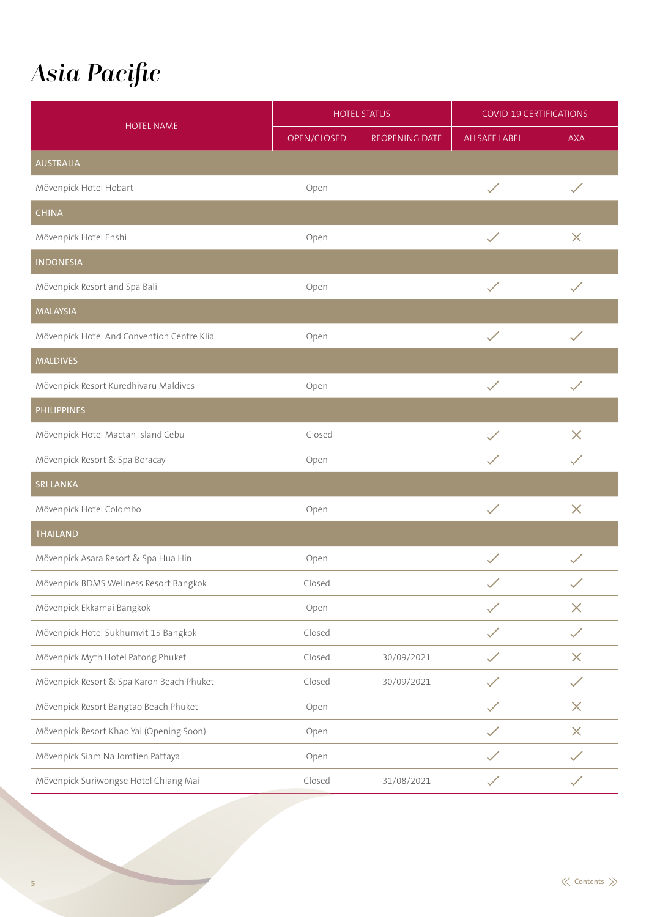### <span id="page-4-0"></span>*Asia Pacific*

|                                            |             | <b>HOTEL STATUS</b> | <b>COVID-19 CERTIFICATIONS</b> |              |
|--------------------------------------------|-------------|---------------------|--------------------------------|--------------|
| <b>HOTEL NAME</b>                          | OPEN/CLOSED | REOPENING DATE      | <b>ALLSAFE LABEL</b>           | <b>AXA</b>   |
| <b>AUSTRALIA</b>                           |             |                     |                                |              |
| Mövenpick Hotel Hobart                     | Open        |                     | $\checkmark$                   | $\checkmark$ |
| <b>CHINA</b>                               |             |                     |                                |              |
| Mövenpick Hotel Enshi                      | Open        |                     | $\checkmark$                   | $\times$     |
| <b>INDONESIA</b>                           |             |                     |                                |              |
| Mövenpick Resort and Spa Bali              | Open        |                     | $\checkmark$                   | $\checkmark$ |
| <b>MALAYSIA</b>                            |             |                     |                                |              |
| Mövenpick Hotel And Convention Centre Klia | Open        |                     | $\checkmark$                   | $\checkmark$ |
| <b>MALDIVES</b>                            |             |                     |                                |              |
| Mövenpick Resort Kuredhivaru Maldives      | Open        |                     | $\checkmark$                   | $\checkmark$ |
| <b>PHILIPPINES</b>                         |             |                     |                                |              |
| Mövenpick Hotel Mactan Island Cebu         | Closed      |                     |                                | $\times$     |
| Mövenpick Resort & Spa Boracay             | Open        |                     | $\checkmark$                   | $\checkmark$ |
| <b>SRI LANKA</b>                           |             |                     |                                |              |
| Mövenpick Hotel Colombo                    | Open        |                     | $\checkmark$                   | $\times$     |
| <b>THAILAND</b>                            |             |                     |                                |              |
| Mövenpick Asara Resort & Spa Hua Hin       | Open        |                     | $\checkmark$                   |              |
| Mövenpick BDMS Wellness Resort Bangkok     | Closed      |                     |                                |              |
| Mövenpick Ekkamai Bangkok                  | Open        |                     | $\checkmark$                   | $\times$     |
| Mövenpick Hotel Sukhumvit 15 Bangkok       | Closed      |                     | $\checkmark$                   | $\diagup$    |
| Mövenpick Myth Hotel Patong Phuket         | Closed      | 30/09/2021          | $\checkmark$                   | $\times$     |
| Mövenpick Resort & Spa Karon Beach Phuket  | Closed      | 30/09/2021          | $\checkmark$                   | $\checkmark$ |
| Mövenpick Resort Bangtao Beach Phuket      | Open        |                     | $\checkmark$                   | $\times$     |
| Mövenpick Resort Khao Yai (Opening Soon)   | Open        |                     | $\checkmark$                   | $\times$     |
| Mövenpick Siam Na Jomtien Pattaya          | Open        |                     |                                |              |
| Mövenpick Suriwongse Hotel Chiang Mai      | Closed      | 31/08/2021          | $\checkmark$                   |              |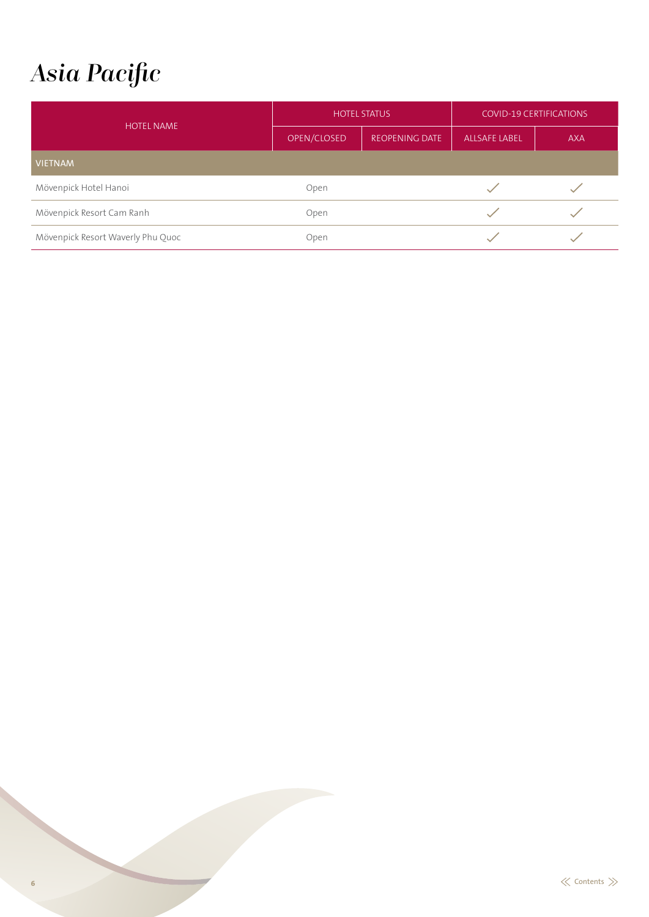#### <span id="page-5-0"></span>*Asia Pacific*

| <b>HOTEL NAME</b>                 | <b>HOTEL STATUS</b> |                       | <b>COVID-19 CERTIFICATIONS</b> |            |
|-----------------------------------|---------------------|-----------------------|--------------------------------|------------|
|                                   | OPEN/CLOSED         | <b>REOPENING DATE</b> | <b>ALLSAFE LABEL</b>           | <b>AXA</b> |
| <b>VIETNAM</b>                    |                     |                       |                                |            |
| Mövenpick Hotel Hanoi             | Open                |                       |                                |            |
| Mövenpick Resort Cam Ranh         | Open                |                       |                                |            |
| Mövenpick Resort Waverly Phu Quoc | Open                |                       |                                |            |